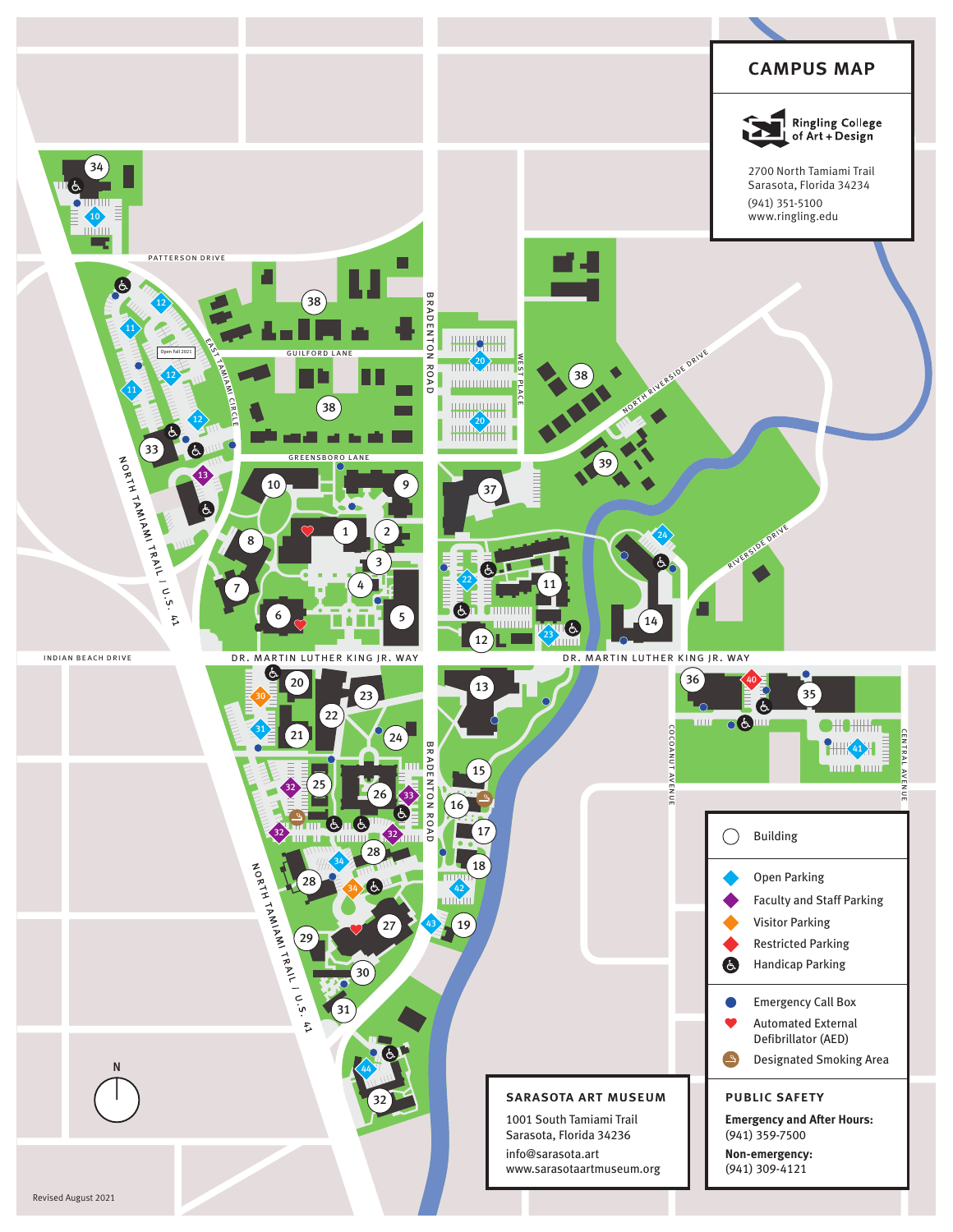